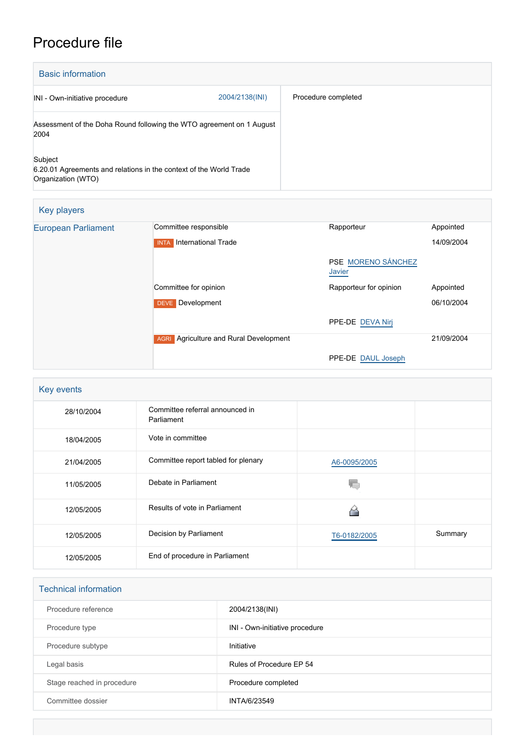## Procedure file

| <b>Basic information</b>                                                                            |                |                     |  |  |
|-----------------------------------------------------------------------------------------------------|----------------|---------------------|--|--|
| INI - Own-initiative procedure                                                                      | 2004/2138(INI) | Procedure completed |  |  |
| Assessment of the Doha Round following the WTO agreement on 1 August<br>2004                        |                |                     |  |  |
| Subject<br>6.20.01 Agreements and relations in the context of the World Trade<br>Organization (WTO) |                |                     |  |  |

| Key players                |                                                  |                              |            |
|----------------------------|--------------------------------------------------|------------------------------|------------|
| <b>European Parliament</b> | Committee responsible                            | Rapporteur                   | Appointed  |
|                            | International Trade<br><b>INTA</b>               |                              | 14/09/2004 |
|                            |                                                  | PSE MORENO SÁNCHEZ<br>Javier |            |
|                            | Committee for opinion                            | Rapporteur for opinion       | Appointed  |
|                            | Development<br><b>DEVE</b>                       |                              | 06/10/2004 |
|                            |                                                  | PPE-DE DEVA Nirj             |            |
|                            | Agriculture and Rural Development<br><b>AGRI</b> |                              | 21/09/2004 |
|                            |                                                  | PPE-DE DAUL Joseph           |            |

| Key events |                                               |              |         |  |
|------------|-----------------------------------------------|--------------|---------|--|
| 28/10/2004 | Committee referral announced in<br>Parliament |              |         |  |
| 18/04/2005 | Vote in committee                             |              |         |  |
| 21/04/2005 | Committee report tabled for plenary           | A6-0095/2005 |         |  |
| 11/05/2005 | Debate in Parliament                          |              |         |  |
| 12/05/2005 | Results of vote in Parliament                 |              |         |  |
| 12/05/2005 | Decision by Parliament                        | T6-0182/2005 | Summary |  |
| 12/05/2005 | End of procedure in Parliament                |              |         |  |

| <b>Technical information</b> |                                |  |
|------------------------------|--------------------------------|--|
| Procedure reference          | 2004/2138(INI)                 |  |
| Procedure type               | INI - Own-initiative procedure |  |
| Procedure subtype            | Initiative                     |  |
| Legal basis                  | Rules of Procedure EP 54       |  |
| Stage reached in procedure   | Procedure completed            |  |
| Committee dossier            | INTA/6/23549                   |  |